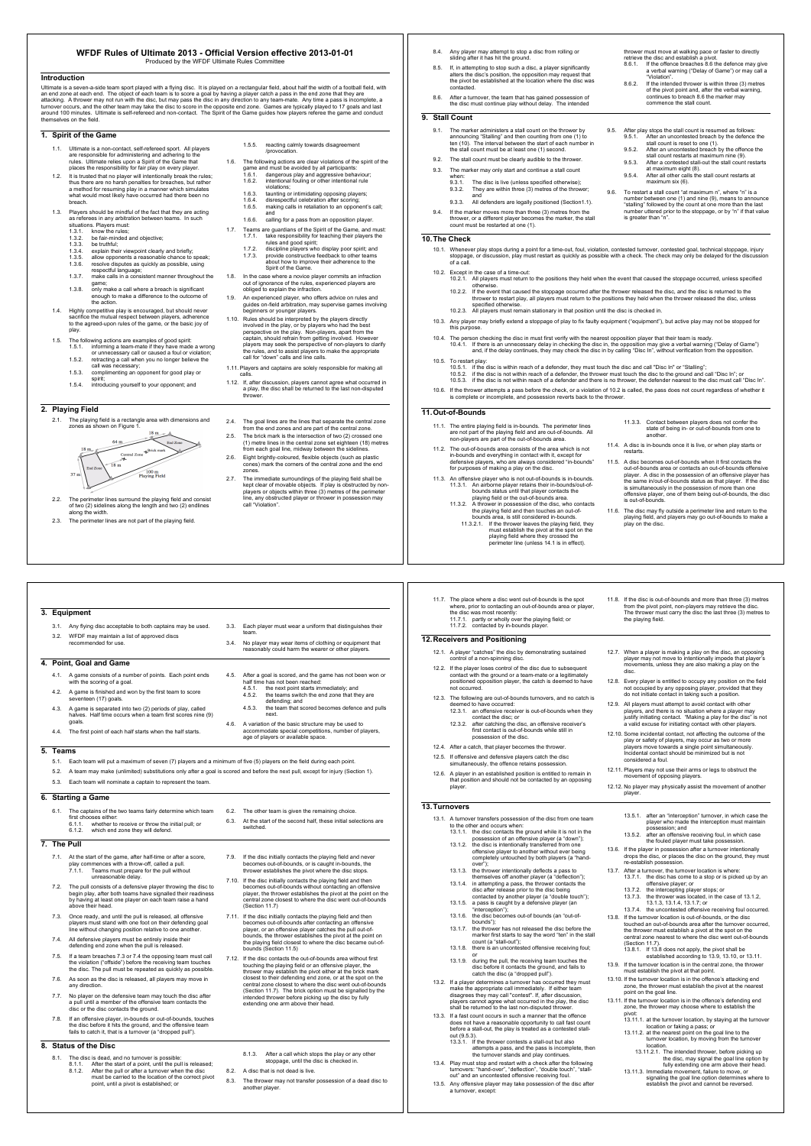#### **WFDF Rules of Ultimate 2013 - Official Version effective 2013-01-01** Produced by the WFDF Ultimate Rules Con

Introduction<br>ultimate is a seven-a-side team sport played with a flying disc. It is played on a rectangular field, about half the width of a football field, with<br>an end zone at each end. The object of each team is to score

### **1. Spirit of the Game**

- 1.1. Ultimate is a non-contact, self-refereed sport. All players<br>are responsible for administering and adhering to the<br>rules. Ultimate relies upon a Spirit of the Game that<br>places the responsibility for fair play on every
- 1.2. It is trusted that no player will intentionally break the rules;<br>thus there are no harsh penalties for breaches, but rather<br>a method for resuming play in a manner which simulates<br>what would most likely have occurred h
- breach.<br>
1.3. Players should be mindful of the fact that they are acting<br>
as referens in any achitetion between teams. In such<br>
1.3.1. The were must<br>
1.3.2. be fair-minded and objective;<br>
1.3.3. be trainfulned and objectiv
	-
	-
	-
	-
	-
	- game; 1.3.8. only make a call where a breach is significant enough to make a difference to the outcome of the action.
- 1.4. Highly competitive play is encouraged, but should never sacrifice the mutual respect between players, adherence to the agreed-upon rules of the game, or the basic joy of

- 
- play.<br>
1.5. The following actions are examples of good spirit:<br>
1.5.1. informing a team-mate if they have made a wrong<br>
or unnecessary call or caused a foul or violation;<br>
1.5.2. retracting a call when you no longer believ
	-
	-
	-
	-

## **2. Playing Field**

**3. Equipment**

**5. Teams**

**7. The Pull**

**6. Starting a Game**

**8. Status of the Disc**

**4. Point, Goal and Game**



2.2. The perimeter lines surround the playing field and consist<br>of two (2) sidelines along the length and two (2) endlines<br>along the width.<br>2.3. The perimeter lines are not part of the playing field.

3.1. Any flying disc acceptable to both captains may be used. 3.2. WFDF may maintain a list of approved discs recommended for use.

4.1. A game consists of a number of points. Each point ends with the scoring of a goal. 4.2. A game is finished and won by the first team to score seventeen (17) goals. 4.3. A game is separated into two (2) periods of play, called halves. Half time occurs when a team first scores nine (9) goals. 4.4. The first point of each half starts when the half starts.

5.3. Each team will nominate a captain to represent the team.

6.1. The captains of the two teams fairly determine which team first chooses either: 6.1.1. whether to receive or throw the initial pull; or 6.1.2. which end zone they will defend.

7.1. At the start of the game, after half-time or after a score, play commences with a throw-off, called a pull. 7.1.1. Teams must prepare for the pull without unreasonable delay. 7.2. The pull consists of a defensive player throwing the disc to begin play, after both teams have signalled their readiness by having at least one player on each team raise a hand above their head.

7.3. Once ready, and until the pull is released, all offensive players must stand with one foot on their defending goal line without changing position relative to one another 7.4. All defensive players must be entirely inside their defending end zone when the pull is released. 7.5. If a team breaches 7.3 or 7.4 the opposing team must call the violation ("offside") before the receiving team touches the disc. The pull must be repeated as quickly as possible. 7.6. As soon as the disc is released, all players may move in any direction. 7.7. No player on the defensive team may touch the disc after a pull until a member of the offensive team contacts the disc or the disc contacts the ground. 7.8. If an offensive player, in-bounds or out-of-bounds, to the disc before it hits the ground, and the offensive team fails to catch it, that is a turnover (a "dropped pull").

8.1. The disc is dead, and no turnover is possible:<br>8.1. After the start of a point, until the pull is released;<br>8.1.2. After the pull or after a turnover when the disc<br>must be carried to the location of the correct pivot<br>

5.1. Each team will put a maximum of seven (7) players and a minimum of five (5) players on the field during each point. 5.2. A team may make (unlimited) substitutions only after a goal is scored and before the next pull, except for injury (Section 1).

- 1.5.5. reacting calmly towards disagreement /provocation.
- 1.6. The following actions are clear violations of the spirit of the game and must be avoided by all participants: 1.6.1. dangerous play and aggressive behaviour; 1.6.2. intentional fouling or other intentional rule
	-
	- violations; 1.6.3. taunting or intimidating opposing players; 1.6.4. disrespectful celebration after scoring;
	- 1.6.5. making calls in retaliation to an opponent's call; and 1.6.6. calling for a pass from an opposition player.
- 1.7. Teams are guardians of the Spirit of the Game, and must: 1.7.1. take responsibility for teaching their players the
	- rules and good spirit; 1.7.2. discipline players who display poor spirit; and 1.7.3. provide constructive feedback to other teams about how to improve their adherence to the Spirit of the Game.
	-
- 1.8. In the case where a novice player commits an infraction<br>out of ignorance of the rules, experienced players are<br>obliged to explain the infraction.<br>1.9. An experienced player, who offers advice on rules and<br>guides on-fi
- beginners or younger players.<br>The Rules should be interpreted by the players directly<br>involved in the play, or by players who had the best<br>perspective on the play, Non-players, apart from the<br>captain, should refrain from g
- 1.11. Players and captains are solely responsible for making all
- calls. 1.12. If, after discussion, players cannot agree what occurred in a play, the disc shall be returned to the last non-disputed thrower.

# 2.4. The goal lines are the lines that separate the central zone from the end zones and are part of the central zone.

- 2.5. The brick mark is the intersection of two (2) crossed one (1) metre lines in the central zone set eighteen (18) metres from each goal line, midway between the sidelines.
- 2.6. Eight brightly-coloured, flexible objects (such as plastic cones) mark the corners of the central zone and the end
- zones.<br>27. The immediate surroundings of the playing field shall be<br>kept clear of movable objects. If play is obstructed by non-<br>players or objects within three (3) metres of the perimeter<br>line, any obstructed player or th

3.3. Each player must wear a uniform that distinguishes their team. 3.4. No player may wear items of clothing or equipment that reasonably could harm the wearer or other players.

4.5. After a goal is scored, and the game has not been won or half time has not been reached: 4.5.1. the next point starts immediately; and 4.5.2. the teams switch the end zone that they are defending; and 4.5.3. the team that scored becomes defence and pulls next.<br>4.6. A variation of the basic structure may be used to<br>accommodate special competitions, number of players<br>age of players or available space.

6.2. The other team is given the remaining choice. 6.3. At the start of the second half, these initial selections are switched.

playing nero crocod

A disc that is not dead is live.

7.9. If the disc initially contacts the playing field and never becomes out-of-bounds, or is caught in-bounds, the thrower establishes the pivot where the disc stops. 7.10. If the disc initially contacts the playing field and then<br>becomes out-of-bounds without contacting an offensive<br>player, the thrower establishes the pivot at the point on the<br>central zone closest to where the disc wen 7.11. If the disc initially contacts the playing field and then becomes out-of-bounds after contacting an offensive player, or an offensive player catches the pull out-of-bounds, the thrower establishes the pivot at the point on the playing field closest to where the disc became out-of-

7.12. If the disc contacts the out-of-bounds area without first<br>touching the playing field or an offensive player, the<br>thrower may establish the pivot either at the brick mark<br>closest to their defending end zone, or at the intended thrower before picking up the disc by fully extending one arm above their head.

8.1.3. After a call which stops the play or any other stoppage, until the disc is checked in.

8.3. The thrower may not transfer possession of a dead disc to another player.

- 8.4. Any player may attempt to stop a disc from rolling or sliding after it has hit the ground.
- 8.5. If, in attempting to stop such a disc, a player significantly alters the disc's position, the opposition may request that the pivot be established at the location where the disc was contacted.
- 8.6. After a turnover, the team that has gained possession of the disc must continue play without delay. The intended

# **9. Stall Count**

- 9.1. The marker administers a stall count on the thrower by<br>announcing "Stalling" and then counting from one (1) to<br>ten (10). The interval between the start of each number in<br>the stall count must be at least one (1) second The stall count must be clearly audible to the throw
- 9.3. The marker may only start and continue a stall count
	- when: 9.3.1. The disc is live (unless specified otherwise); 9.3.2. They are within three (3) metres of the thrower; and 9.3.3. All defenders are legally positioned (Section1.1).
- 9.4. If the marker moves more than three (3) metres from the thrower, or a different player becomes the marker, the stall count must be restarted at one (1).

#### **10.The Check**

- 10.1. Whenever play stops during a point for a time-out, foul, violation, contested turnover, contested goal, technical stoppage, injury<br>stoppage, or discussion, play must restart as quickly as possible with a check. The c
- 10.2. Except in the case of a time-out: 10.2.1. All players must return to the positions they held when the event that caused the stoppage occurred, unless specified
	- otherwise.<br>10.2.2. If the event that caused the stoppage occurred after the thrower released the disc, and the disc is returned to the<br>thrower to restart play, all players must return to the positions they held when the th
- 
- 10.3. Any player may briefly extend a stoppage of play to fix faulty equipment ("equipment"), but active play may not be stopped for this purpose. 10.4. The person checking the disc in must first verify with the nearest opposition player that their team is ready.
- "10.4.1. If there is an unnecessary delay in checking the disc in, the opposition may give a verbal warning ("Delay of Game")<br>and, if the delay continues, they may check the disc in by calling "Disc In", without verificati
- 10.5. To restart play:<br>10.5.1. If the disc is within reach of a defender, they must touch the disc and call "Disc In" or "Stalling";<br>10.5.2. If the disc is not within reach of a defender, the thrower must touch the disc to
- 10.6. If the thrower attempts a pass before the check, or a violation of 10.2 is called, the pass does not count regardless of whether it is complete or incomplete, and possession reverts back to the thrower.
- **11.Out-of-Bounds**
	- 11.1. The entire playing field is in-bounds. The perimeter lines are not part of the playing field and are out-of-bounds. All non-players are part of the out-of-bounds area.
	- 11.2. The out-of-bounds area consists of the area which is not in-bounds and everything in contact with it, except for defensive players, who are always considered "in-bounds" for purposes of making a play on the disc.
	- 11.3. An offensive player who is not out-of-bounds is in-bounds.<br>
	11.3.1. An airborne player retains their in-bounds/out-of-<br>
	bounds status until that player contacts the<br>
	playing field or the out-of-bounds area.<br>
	11.3.2. bounds area, is still considered in-bounds. 11.3.2.1. If the thrower leaves the playing field, they must establish the pivot at the spot on the
- 11.3.3. Contact between players does not confer the state of being in- or out-of-bounds from one to another.

thrower must move at walking pace or faster to directly retrieve the disc and establish a pivot. 8.6.1. If the offence breaches 8.6 the defence may give a verbal warning ("Delay of Game") or may call a "Violation". 8.6.2. If the intended thrower is within three (3) metres of the pivot point and, after the verbal warning, continues to breach 8.6 the marker may commence the stall count.

9.5. After play stops the stall count is resumed as follows: 9.5.1. After an uncontested breach by the defence the stall count is reset to one (1).

9.5.2. After an uncontested breach by the offence the<br>stall count restarts at maximum inine  $(9)$ .<br>9.5.3. After a contested stall-out the stall count restarts<br>at maximum eight (8).<br>9.5.4. After all other calls the stall c

9.6. To restart a stall count "at maximum n", where "n" is a<br>number between one (1) and nine (9), means to announce<br>"stalling" followed by the count at one more than the last<br>number uttered prior to the stoppage, or by "n

- 11.4. A disc is in-bounds once it is live, or when play starts or restarts.
- 11.5. A disc becomes out-of-bounds when it first contacts the<br>out-of-bounds area or contacts an out-of-bounds offensive<br>player. A disc in the possession of an offensive player has<br>the same in/out-of-bounds status as that p
- 11.6. The disc may fly outside a perimeter line and return to the playing field, and players may go out-of-bounds to make a play on the disc.
- playing field where they crossed the perimeter line (unless 14.1 is in effect).
- 11.7. The place where a disc went out-of-bounds is the spot where, prior to contacting an out-of-bounds area or player, the disc was most recently: 11.7.1. partly or wholly over the playing field; or 11.7.2. contacted by in-bounds player.

### **12.Receivers and Positioning**

- 12.1. A player "catches" the disc by demonstrating sustained control of a non-spinning disc.
- 12.2. If the player loses control of the disc due to subsequent contact with the ground or a team-mate or a legitimately positioned opposition player, the catch is deemed to have not occurred.
- 12.3. The following are out-of-bounds turnovers, and no catch is<br>deemed to have occurred:<br>12.3.1. an offensive receiver is out-of-bounds when they<br>2.3.1. an offensive receiver is out-of-bounds when they<br>12.3.2. after catch
- 12.4. After a catch, that player becomes the thrower.
- 12.5. If offensive and defensive players catch the disc simultaneously, the offence retains possession.
- 12.6. A player in an established position is entitled to remain in that position and should not be contacted by an opposing player.

## **13.Turnovers**

- 13.1. A turnover transfers possession of the disc from one team<br>to the other and occurs when:<br>13.1.1. the disc contacts the ground while it is not in the<br>2015/2016 possession of an offersive player (a "down");<br>13.1.2. the
- - over)",<br>
	over)",<br>
	other the thrower intentionally deflects a pass to ",<br>
	the measures of another player (a "deflection"),<br>
	13.1.4. In alternating a pass, the thrower contacts the<br>
	decading release prior to the disc being<br>
	-
	-
- bounds"); 13.1.7. the thrower has not released the disc before the marker first starts to say the word "ten" in the stall count (a "stall-out");
- marker in st starts to say the word "ten" in the sta<br>count (a "stall-out");<br>13.1.8. there is an uncontested offensive receiving foul;
- 
- 13.1.9. Or many the pull, the receiving team touches the disc before it contacts the ground, and fails to declobe the disc (a "dropped pull").<br>
13.2. If a player determines a turnover has occurred they must make the appro
- 
- 13.3.1. If the thrower contests a stall-out but also attempts a pass, and the pass is incomplete, then the turnover stands and play continues.
- 13.4. Play must stop and restart with a check after the following turnovers: "hand-over", "deflection", "double touch", "stall-out" and an uncontested offensive receiving foul.
- 13.5. Any offensive player may take possession of the disc after a turnover, except:

11.8. If the disc is out-of-bounds and more than three (3) metres from the pivot point, non-players may retrieve the disc. The thrower must carry the disc the last three (3) metres to the playing field.

# 12.7. When a player is making a play on the disc, an opposing player may not move to intentionally impede that player's movements, unless they are also making a play on the disc.

- 12.8. Every player is entitled to occupy any position on the field not occupied by any opposing player, provided that they do not initiate contact in taking such a position.
- 12.9. All players must attempt to avoid contact with other<br>players, and there is no situation where a player may<br>justify initiating contact. "Making a play for the disc" is not<br>a valid excuse for initiating contact with ot
- 12.10. Some incidental contact, not affecting the outcome of the player safety of players as we cour as two or more players move towards a single point simultaneously. Incidental contact should be minimized but is not cons
- 
- 12.11. Players may not use their arms or legs to obstruct the movement of opposing players.
- 12.12. No player may physically assist the movement of another player.
	- 13.5.1. after an "interception" turnover, in which case the player who made the interception must maintain possession; and 13.5.2. after an offensive receiving foul, in which case the fouled player must take possession.
- 
- 13.6. If the player in possession after a turnover intentionally<br>drops the disc, or places the disc on the ground, they must<br>13.7. After a turnover, the turnover location is where:<br>13.7.1. the disc has come to a stop or is
	-

13.1.4. the uncontested offensive receiving foul occurred.<br>13.7.4. the uncontested offensive receiving foul occurred.<br>13.8. If the turnover location is out-of-bounds area offer the turnover occurred,<br>the thrower must estab

(Section 11.7). 13.8.1. If 13.8 does not apply, the pivot shall be established according to 13.9, 13.10, or 13.11. 13.9. If the turnover location is in the central zone, the thrower must establish the pivot at that point. 13.10. If the turnover location is in the offence's attacking end zone, the thrower must establish the pivot at the nearest point on the goal line. 13.11. If the turnover location is in the offence's defending end zone, the thrower may choose where to establish the pivot: 13.11.1. at the turnover location, by staying at the turnover location or faking a pass; or 13.11.2. at the nearest point on the goal line to the turnover location, by moving from the turnover

location.<br>
10.21.1.2.1. The intended thrower, before picking up<br>
the disc, may signal the goal line option by<br>
the disc, may signal the goal line option by<br>
13.11.3. Immediate movement, fallure to move, or<br>
signaling the g